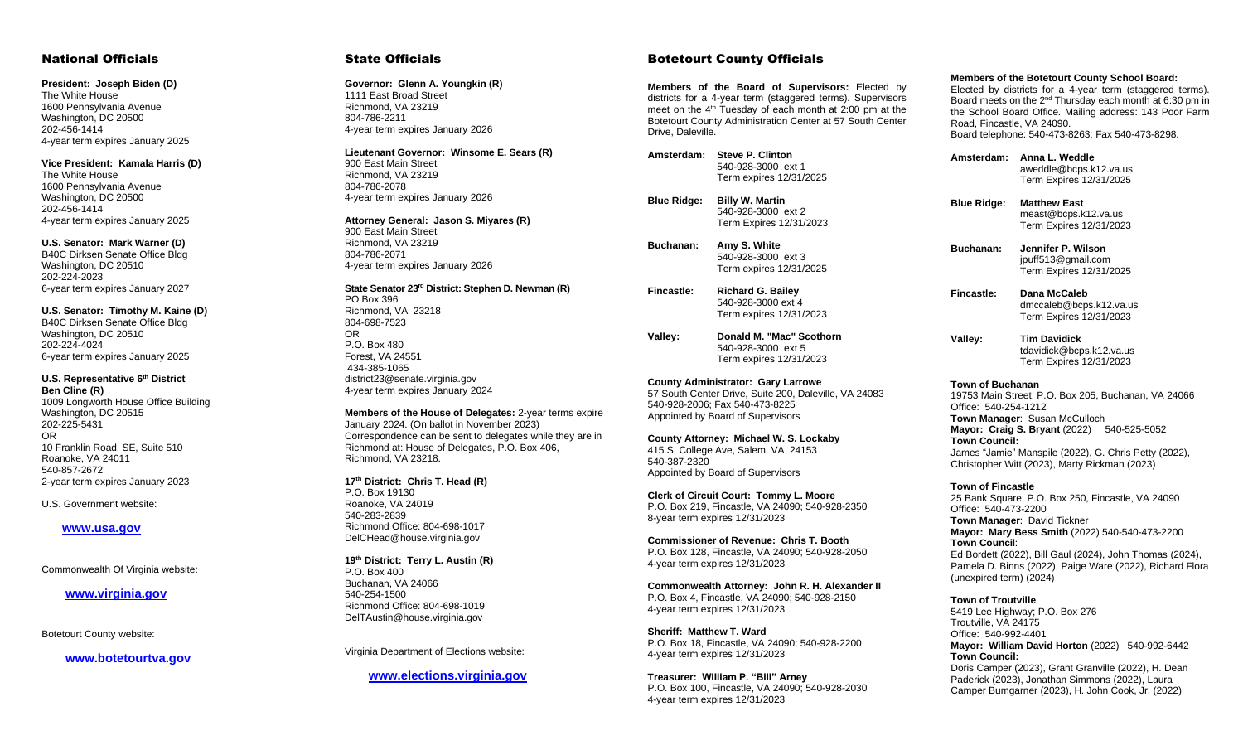### National Officials

#### **President: Joseph Biden (D)**

The White House 1600 Pennsylvania Avenue Washington, DC 20500 202-456-1414 4-year term expires January 2025

#### **Vice President: Kamala Harris (D)**

The White House 1600 Pennsylvania Avenue Washington, DC 20500 202-456-1414 4-year term expires January 2025

#### **U.S. Senator: Mark Warner (D)**

B40C Dirksen Senate Office Bldg Washington, DC 20510 202-224-2023 6-year term expires January 2027

#### **U.S. Senator: Timothy M. Kaine (D)**

B40C Dirksen Senate Office Bldg Washington, DC 20510 202-224-4024 6-year term expires January 2025

#### **U.S. Representative 6th District Ben Cline (R)**

1009 Longworth House Office Building Washington, DC 20515 202-225-5431 OR 10 Franklin Road, SE, Suite 510 Roanoke, VA 24011 540-857-2672 2-year term expires January 2023

U.S. Government website:

#### **[www.usa.gov](http://www.usa.gov/)**

Commonwealth Of Virginia website:

#### **www.virginia.gov**

Botetourt County website:

 **www.botetourtva.gov**

#### State Officials

**Governor: Glenn A. Youngkin (R)** 1111 East Broad Street Richmond, VA 23219 804-786-2211 4-year term expires January 2026

**Lieutenant Governor: Winsome E. Sears (R)** 900 East Main Street Richmond, VA 23219 804-786-2078 4-year term expires January 2026

#### **Attorney General: Jason S. Miyares (R)**

900 East Main Street Richmond, VA 23219 804-786-2071 4-year term expires January 2026

#### **State Senator 23 rd District: Stephen D. Newman (R)**

PO Box 396 Richmond, VA 23218 804-698-7523 OR P.O. Box 480 Forest, VA 24551 434-385-1065 district23@senate.virginia.gov 4-year term expires January 2024

**Members of the House of Delegates:** 2-year terms expire January 2024. (On ballot in November 2023) Correspondence can be sent to delegates while they are in Richmond at: House of Delegates, P.O. Box 406, Richmond, VA 23218.

**17th District: Chris T. Head (R)** P.O. Box 19130 Roanoke, VA 24019 540-283-2839 Richmond Office: 804-698-1017 DelCHead@house.virginia.gov

**19th District: Terry L. Austin (R)** P.O. Box 400 Buchanan, VA 24066 540-254-1500 Richmond Office: 804-698-1019 DelTAustin@house.virginia.gov

Virginia Department of Elections website:

#### **www.elections.virginia.gov**

#### Botetourt County Officials

**Members of the Board of Supervisors:** Elected by districts for a 4-year term (staggered terms). Supervisors meet on the  $4<sup>th</sup>$  Tuesday of each month at 2:00 pm at the Botetourt County Administration Center at 57 South Center Drive, Daleville.

**Amsterdam: Steve P. Clinton** 540-928-3000 ext 1 Term expires 12/31/2025

**Blue Ridge: Billy W. Martin** 540-928-3000 ext 2 Term Expires 12/31/2023

**Buchanan: Amy S. White** 540-928-3000 ext 3 Term expires 12/31/2025

**Fincastle: Richard G. Bailey** 540-928-3000 ext 4 Term expires 12/31/2023

**Valley: Donald M. "Mac" Scothorn** 540-928-3000 ext 5 Term expires 12/31/2023

**County Administrator: Gary Larrowe** 57 South Center Drive, Suite 200, Daleville, VA 24083 540-928-2006; Fax 540-473-8225 Appointed by Board of Supervisors

**County Attorney: Michael W. S. Lockaby** 415 S. College Ave, Salem, VA 24153 540-387-2320 Appointed by Board of Supervisors

**Clerk of Circuit Court: Tommy L. Moore** P.O. Box 219, Fincastle, VA 24090; 540-928-2350 8-year term expires 12/31/2023

**Commissioner of Revenue: Chris T. Booth** P.O. Box 128, Fincastle, VA 24090; 540-928-2050 4-year term expires 12/31/2023

**Commonwealth Attorney: John R. H. Alexander II** P.O. Box 4, Fincastle, VA 24090; 540-928-2150 4-year term expires 12/31/2023

**Sheriff: Matthew T. Ward** P.O. Box 18, Fincastle, VA 24090; 540-928-2200 4-year term expires 12/31/2023

**Treasurer: William P. "Bill" Arney** P.O. Box 100, Fincastle, VA 24090; 540-928-2030 4-year term expires 12/31/2023

#### **Members of the Botetourt County School Board:**

Elected by districts for a 4-year term (staggered terms). Board meets on the 2<sup>nd</sup> Thursday each month at 6:30 pm in the School Board Office. Mailing address: 143 Poor Farm Road, Fincastle, VA 24090. Board telephone: 540-473-8263; Fax 540-473-8298.

**Amsterdam: Anna L. Weddle** aweddle@bcps.k12.va.us Term Expires 12/31/2025

**Blue Ridge: Matthew East** meast@bcps.k12.va.us Term Expires 12/31/2023

**Buchanan: Jennifer P. Wilson** jpuff513@gmail.com Term Expires 12/31/2025

**Fincastle: Dana McCaleb** dmccaleb@bcps.k12.va.us Term Expires 12/31/2023

**Valley: Tim Davidick** tdavidick@bcps.k12.va.us Term Expires 12/31/2023

#### **Town of Buchanan**

19753 Main Street; P.O. Box 205, Buchanan, VA 24066 Office: 540-254-1212 **Town Manager: Susan McCulloch Mayor: Craig S. Bryant** (2022) 540-525-5052 **Town Council:** James "Jamie" Manspile (2022), G. Chris Petty (2022), Christopher Witt (2023), Marty Rickman (2023)

#### **Town of Fincastle**

25 Bank Square; P.O. Box 250, Fincastle, VA 24090 Office: 540-473-2200 **Town Manager**: David Tickner **Mayor: Mary Bess Smith** (2022) 540-540-473-2200 **Town Counci**l: Ed Bordett (2022), Bill Gaul (2024), John Thomas (2024), Pamela D. Binns (2022), Paige Ware (2022), Richard Flora (unexpired term) (2024)

**Town of Troutville** 

5419 Lee Highway; P.O. Box 276 Troutville, VA 24175 Office: 540-992-4401 **Mayor: William David Horton** (2022) 540-992-6442 **Town Council:** Doris Camper (2023), Grant Granville (2022), H. Dean Paderick (2023), Jonathan Simmons (2022), Laura Camper Bumgarner (2023), H. John Cook, Jr. (2022)